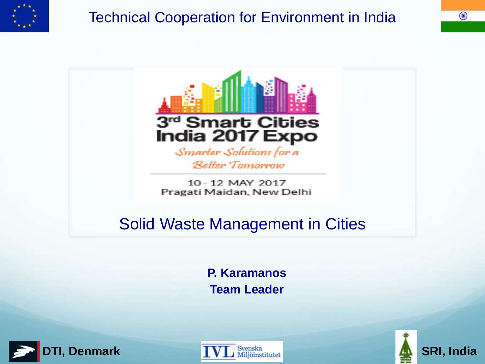

### Technical Cooperation for Environment in India



#### Solid Waste Management in Cities

**P. Karamanos Team Leader**





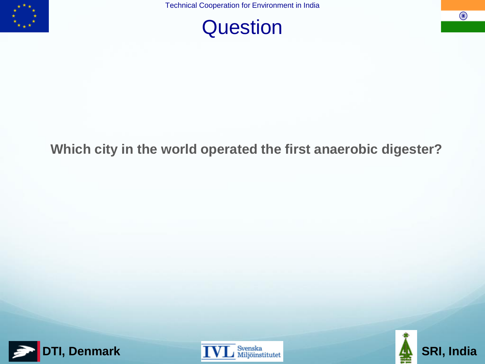

### **Question**

 $\bigodot$ 

#### **Which city in the world operated the first anaerobic digester?**





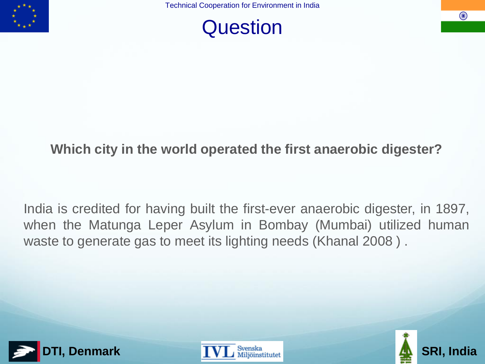



 $(\bullet)$ 

#### **Which city in the world operated the first anaerobic digester?**

India is credited for having built the first-ever anaerobic digester, in 1897, when the Matunga Leper Asylum in Bombay (Mumbai) utilized human waste to generate gas to meet its lighting needs (Khanal 2008 ) .





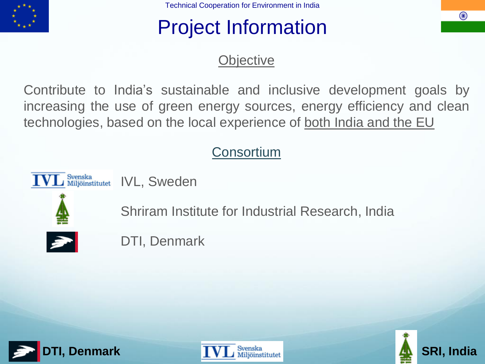

## Project Information

#### **Objective**

Contribute to India's sustainable and inclusive development goals by increasing the use of green energy sources, energy efficiency and clean technologies, based on the local experience of both India and the EU

#### **Consortium**

Svenska<br>Miljöinstitutet IVL, Sweden



Shriram Institute for Industrial Research, India



DTI, Denmark





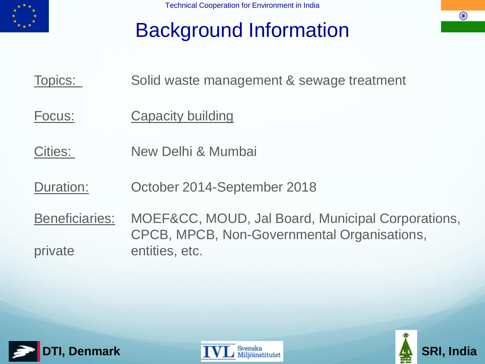

## Background Information

Topics: Solid waste management & sewage treatment

- Focus: Capacity building
- Cities: New Delhi & Mumbai
- Duration: October 2014-September 2018
- Beneficiaries: MOEF&CC, MOUD, Jal Board, Municipal Corporations, CPCB, MPCB, Non-Governmental Organisations, private entities, etc.





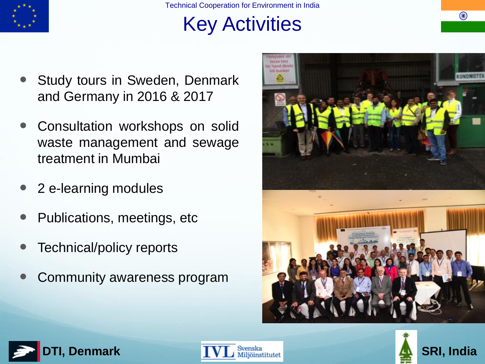

# Key Activities

- Study tours in Sweden, Denmark and Germany in 2016 & 2017
- Consultation workshops on solid waste management and sewage treatment in Mumbai
- 2 e-learning modules
- Publications, meetings, etc
- Technical/policy reports
- Community awareness program







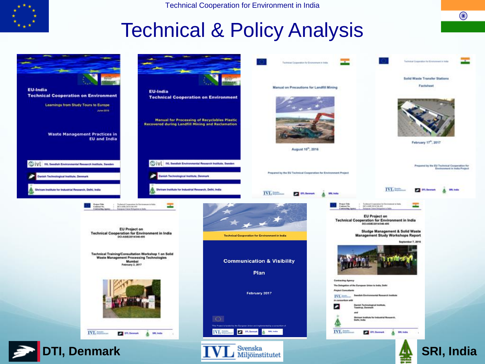

 $\bigodot$ 

### Technical & Policy Analysis

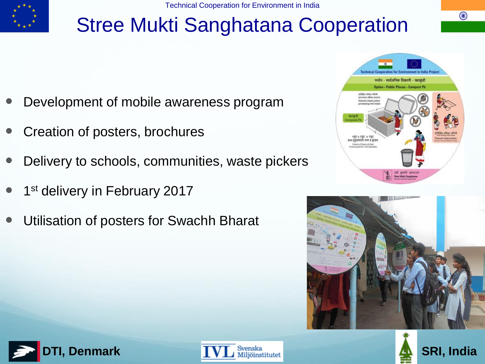

# Stree Mukti Sanghatana Cooperation

- Development of mobile awareness program
- Creation of posters, brochures
- Delivery to schools, communities, waste pickers
- 1<sup>st</sup> delivery in February 2017
- Utilisation of posters for Swachh Bharat









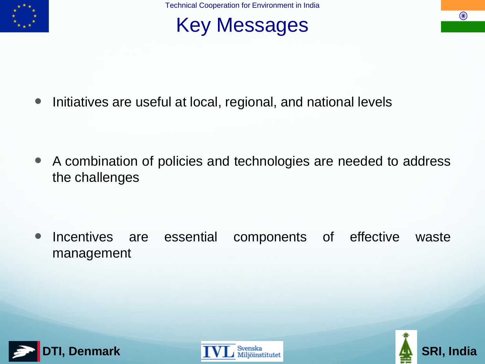

## Key Messages

• Initiatives are useful at local, regional, and national levels

 A combination of policies and technologies are needed to address the challenges

• Incentives are essential components of effective waste management







 $\bigcirc$